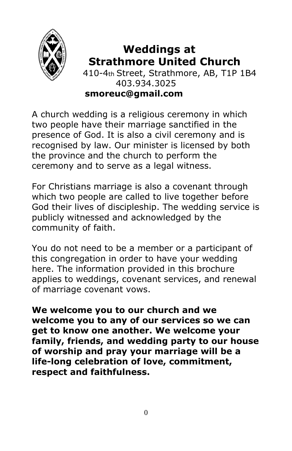

#### **Weddings at Strathmore United Church** 410-4th Street, Strathmore, AB, T1P 1B4 403.934.3025 **smoreuc@gmail.com**

A church wedding is a religious ceremony in which two people have their marriage sanctified in the presence of God. It is also a civil ceremony and is recognised by law. Our minister is licensed by both the province and the church to perform the ceremony and to serve as a legal witness.

For Christians marriage is also a covenant through which two people are called to live together before God their lives of discipleship. The wedding service is publicly witnessed and acknowledged by the community of faith.

You do not need to be a member or a participant of this congregation in order to have your wedding here. The information provided in this brochure applies to weddings, covenant services, and renewal of marriage covenant vows.

**We welcome you to our church and we welcome you to any of our services so we can get to know one another. We welcome your family, friends, and wedding party to our house of worship and pray your marriage will be a life-long celebration of love, commitment, respect and faithfulness.**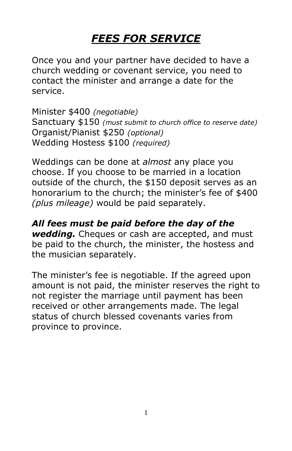# *FEES FOR SERVICE*

Once you and your partner have decided to have a church wedding or covenant service, you need to contact the minister and arrange a date for the service.

Minister \$400 *(negotiable)*  Sanctuary \$150 *(must submit to church office to reserve date)*  Organist/Pianist \$250 *(optional)*  Wedding Hostess \$100 *(required)* 

Weddings can be done at *almost* any place you choose. If you choose to be married in a location outside of the church, the \$150 deposit serves as an honorarium to the church; the minister's fee of \$400 *(plus mileage)* would be paid separately.

*All fees must be paid before the day of the wedding.* Cheques or cash are accepted, and must be paid to the church, the minister, the hostess and the musician separately.

The minister's fee is negotiable. If the agreed upon amount is not paid, the minister reserves the right to not register the marriage until payment has been received or other arrangements made. The legal status of church blessed covenants varies from province to province.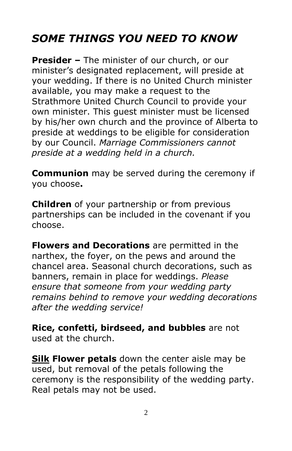## *SOME THINGS YOU NEED TO KNOW*

**Presider –** The minister of our church, or our minister's designated replacement, will preside at your wedding. If there is no United Church minister available, you may make a request to the Strathmore United Church Council to provide your own minister. This guest minister must be licensed by his/her own church and the province of Alberta to preside at weddings to be eligible for consideration by our Council. *Marriage Commissioners cannot preside at a wedding held in a church.* 

**Communion** may be served during the ceremony if you choose**.** 

**Children** of your partnership or from previous partnerships can be included in the covenant if you choose.

**Flowers and Decorations** are permitted in the narthex, the foyer, on the pews and around the chancel area. Seasonal church decorations, such as banners, remain in place for weddings. *Please ensure that someone from your wedding party remains behind to remove your wedding decorations after the wedding service!* 

**Rice, confetti, birdseed, and bubbles** are not used at the church.

**Silk Flower petals** down the center aisle may be used, but removal of the petals following the ceremony is the responsibility of the wedding party. Real petals may not be used.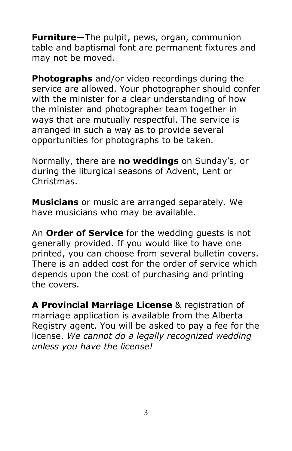**Furniture**—The pulpit, pews, organ, communion table and baptismal font are permanent fixtures and may not be moved.

**Photographs** and/or video recordings during the service are allowed. Your photographer should confer with the minister for a clear understanding of how the minister and photographer team together in ways that are mutually respectful. The service is arranged in such a way as to provide several opportunities for photographs to be taken.

Normally, there are **no weddings** on Sunday's, or during the liturgical seasons of Advent, Lent or Christmas.

**Musicians** or music are arranged separately. We have musicians who may be available.

An **Order of Service** for the wedding guests is not generally provided. If you would like to have one printed, you can choose from several bulletin covers. There is an added cost for the order of service which depends upon the cost of purchasing and printing the covers.

**A Provincial Marriage License** & registration of marriage application is available from the Alberta Registry agent. You will be asked to pay a fee for the license. *We cannot do a legally recognized wedding unless you have the license!*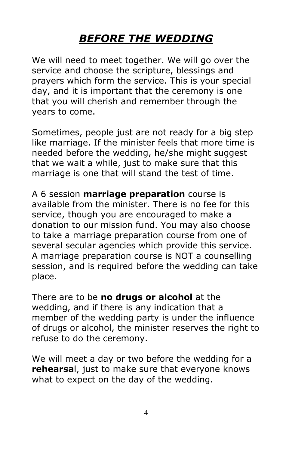### *BEFORE THE WEDDING*

We will need to meet together. We will go over the service and choose the scripture, blessings and prayers which form the service. This is your special day, and it is important that the ceremony is one that you will cherish and remember through the years to come.

Sometimes, people just are not ready for a big step like marriage. If the minister feels that more time is needed before the wedding, he/she might suggest that we wait a while, just to make sure that this marriage is one that will stand the test of time.

A 6 session **marriage preparation** course is available from the minister. There is no fee for this service, though you are encouraged to make a donation to our mission fund. You may also choose to take a marriage preparation course from one of several secular agencies which provide this service. A marriage preparation course is NOT a counselling session, and is required before the wedding can take place.

There are to be **no drugs or alcohol** at the wedding, and if there is any indication that a member of the wedding party is under the influence of drugs or alcohol, the minister reserves the right to refuse to do the ceremony.

We will meet a day or two before the wedding for a **rehearsa**l, just to make sure that everyone knows what to expect on the day of the wedding.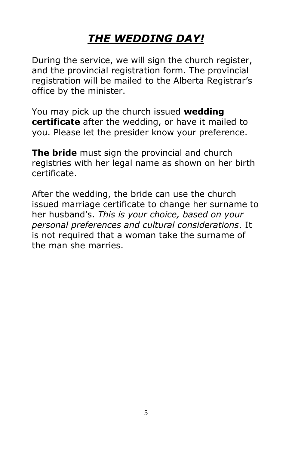### *THE WEDDING DAY!*

During the service, we will sign the church register, and the provincial registration form. The provincial registration will be mailed to the Alberta Registrar's office by the minister.

You may pick up the church issued **wedding certificate** after the wedding, or have it mailed to you. Please let the presider know your preference.

**The bride** must sign the provincial and church registries with her legal name as shown on her birth certificate.

After the wedding, the bride can use the church issued marriage certificate to change her surname to her husband's. *This is your choice, based on your personal preferences and cultural considerations*. It is not required that a woman take the surname of the man she marries.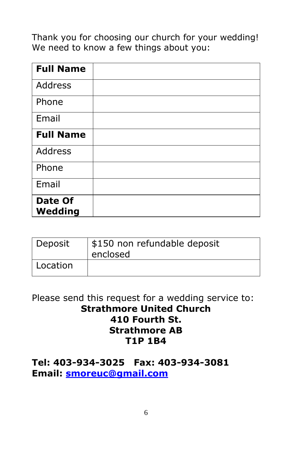Thank you for choosing our church for your wedding! We need to know a few things about you:

| <b>Full Name</b>   |  |
|--------------------|--|
| Address            |  |
| Phone              |  |
| Email              |  |
| <b>Full Name</b>   |  |
| Address            |  |
| Phone              |  |
| Email              |  |
| Date Of<br>Wedding |  |

| Deposit  | \$150 non refundable deposit<br>enclosed |
|----------|------------------------------------------|
| Location |                                          |

#### Please send this request for a wedding service to: **Strathmore United Church 410 Fourth St. Strathmore AB T1P 1B4**

#### **Tel: 403-934-3025 Fax: 403-934-3081 Email: [smoreuc@gmail.com](mailto:smoreuc@gmail.com)**